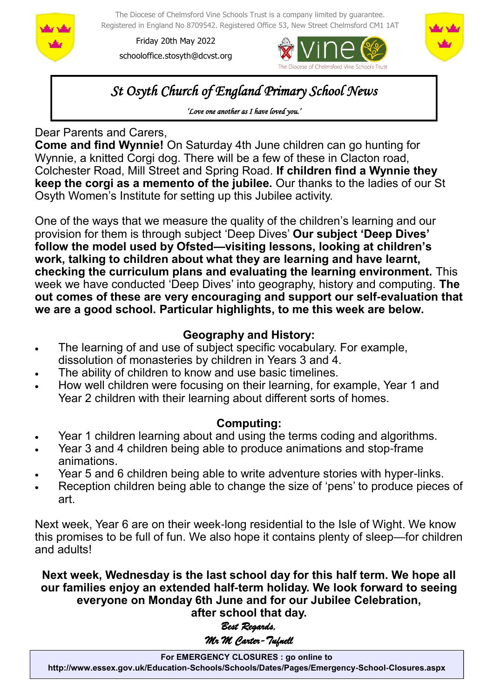

The Diocese of Chelmsford Vine Schools Trust is a company limited by guarantee. Registered in England No 8709542. Registered Office 53, New Street Chelmsford CM1 1AT

Friday 20th May 2022 schooloffice.stosyth@dcvst.org





*St Osyth Church of England Primary School News* 

*'Love one another as I have loved you.'* 

## Dear Parents and Carers,

**Come and find Wynnie!** On Saturday 4th June children can go hunting for Wynnie, a knitted Corgi dog. There will be a few of these in Clacton road, Colchester Road, Mill Street and Spring Road. **If children find a Wynnie they keep the corgi as a memento of the jubilee.** Our thanks to the ladies of our St Osyth Women's Institute for setting up this Jubilee activity.

One of the ways that we measure the quality of the children's learning and our provision for them is through subject 'Deep Dives' **Our subject 'Deep Dives' follow the model used by Ofsted—visiting lessons, looking at children's work, talking to children about what they are learning and have learnt, checking the curriculum plans and evaluating the learning environment.** This week we have conducted 'Deep Dives' into geography, history and computing. **The out comes of these are very encouraging and support our self-evaluation that we are a good school. Particular highlights, to me this week are below.**

## **Geography and History:**

- The learning of and use of subject specific vocabulary. For example, dissolution of monasteries by children in Years 3 and 4.
- The ability of children to know and use basic timelines.
- How well children were focusing on their learning, for example, Year 1 and Year 2 children with their learning about different sorts of homes.

## **Computing:**

- Year 1 children learning about and using the terms coding and algorithms.
- Year 3 and 4 children being able to produce animations and stop-frame animations.
- Year 5 and 6 children being able to write adventure stories with hyper-links.
- Reception children being able to change the size of 'pens' to produce pieces of art.

Next week, Year 6 are on their week-long residential to the Isle of Wight. We know this promises to be full of fun. We also hope it contains plenty of sleep—for children and adults!

**Next week, Wednesday is the last school day for this half term. We hope all our families enjoy an extended half-term holiday. We look forward to seeing everyone on Monday 6th June and for our Jubilee Celebration, after school that day.**

# *Best Regards, Mr M Carter-Tufnell*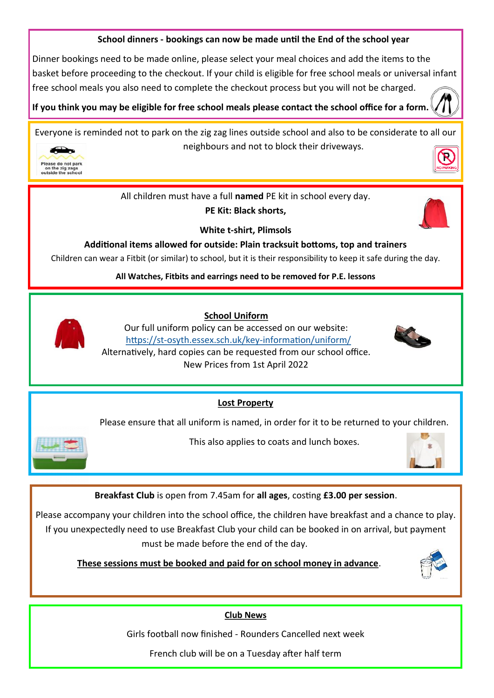#### **School dinners - bookings can now be made until the End of the school year**

Dinner bookings need to be made online, please select your meal choices and add the items to the basket before proceeding to the checkout. If your child is eligible for free school meals or universal infant free school meals you also need to complete the checkout process but you will not be charged.

**If you think you may be eligible for free school meals please contact the school office for a form.** 

Everyone is reminded not to park on the zig zag lines outside school and also to be considerate to all our neighbours and not to block their driveways.



All children must have a full **named** PE kit in school every day.

**PE Kit: Black shorts,** 



**White t-shirt, Plimsols**

**Additional items allowed for outside: Plain tracksuit bottoms, top and trainers**

Children can wear a Fitbit (or similar) to school, but it is their responsibility to keep it safe during the day.

**All Watches, Fitbits and earrings need to be removed for P.E. lessons**



 **School Uniform**

Our full uniform policy can be accessed on our website: https://st-[osyth.essex.sch.uk/key](https://st-osyth.essex.sch.uk/key-information/uniform/)-information/uniform/ Alternatively, hard copies can be requested from our school office. New Prices from 1st April 2022



**Lost Property**

Please ensure that all uniform is named, in order for it to be returned to your children.



This also applies to coats and lunch boxes.



**Breakfast Club** is open from 7.45am for **all ages**, costing **£3.00 per session**.

Please accompany your children into the school office, the children have breakfast and a chance to play. If you unexpectedly need to use Breakfast Club your child can be booked in on arrival, but payment must be made before the end of the day.

 **These sessions must be booked and paid for on school money in advance**.



#### **Club News**

Girls football now finished - Rounders Cancelled next week

French club will be on a Tuesday after half term